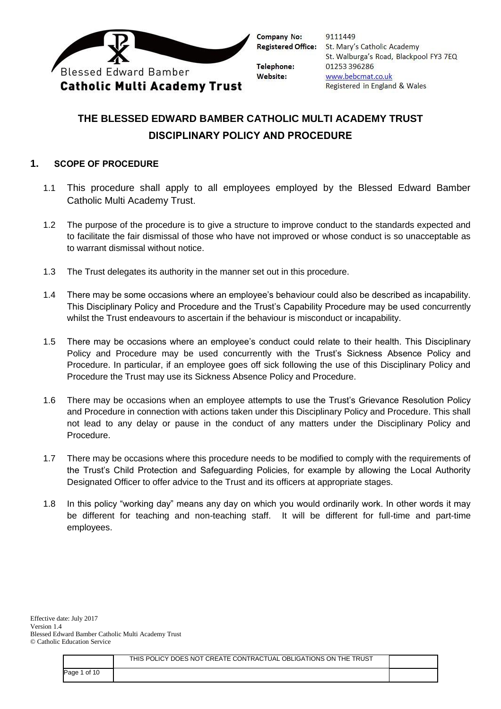

9111449 **Registered Office:** St. Mary's Catholic Academy St. Walburga's Road, Blackpool FY3 7EQ 01253 396286 www.bebcmat.co.uk Registered in England & Wales

# **THE BLESSED EDWARD BAMBER CATHOLIC MULTI ACADEMY TRUST DISCIPLINARY POLICY AND PROCEDURE**

## **1. SCOPE OF PROCEDURE**

- 1.1 This procedure shall apply to all employees employed by the Blessed Edward Bamber Catholic Multi Academy Trust.
- 1.2 The purpose of the procedure is to give a structure to improve conduct to the standards expected and to facilitate the fair dismissal of those who have not improved or whose conduct is so unacceptable as to warrant dismissal without notice.
- 1.3 The Trust delegates its authority in the manner set out in this procedure.
- 1.4 There may be some occasions where an employee's behaviour could also be described as incapability. This Disciplinary Policy and Procedure and the Trust's Capability Procedure may be used concurrently whilst the Trust endeavours to ascertain if the behaviour is misconduct or incapability.
- 1.5 There may be occasions where an employee's conduct could relate to their health. This Disciplinary Policy and Procedure may be used concurrently with the Trust's Sickness Absence Policy and Procedure. In particular, if an employee goes off sick following the use of this Disciplinary Policy and Procedure the Trust may use its Sickness Absence Policy and Procedure.
- 1.6 There may be occasions when an employee attempts to use the Trust's Grievance Resolution Policy and Procedure in connection with actions taken under this Disciplinary Policy and Procedure. This shall not lead to any delay or pause in the conduct of any matters under the Disciplinary Policy and Procedure.
- 1.7 There may be occasions where this procedure needs to be modified to comply with the requirements of the Trust's Child Protection and Safeguarding Policies, for example by allowing the Local Authority Designated Officer to offer advice to the Trust and its officers at appropriate stages.
- 1.8 In this policy "working day" means any day on which you would ordinarily work. In other words it may be different for teaching and non-teaching staff. It will be different for full-time and part-time employees.

|              | THIS POLICY DOES NOT CREATE CONTRACTUAL OBLIGATIONS ON THE TRUST |  |
|--------------|------------------------------------------------------------------|--|
| Page 1 of 10 |                                                                  |  |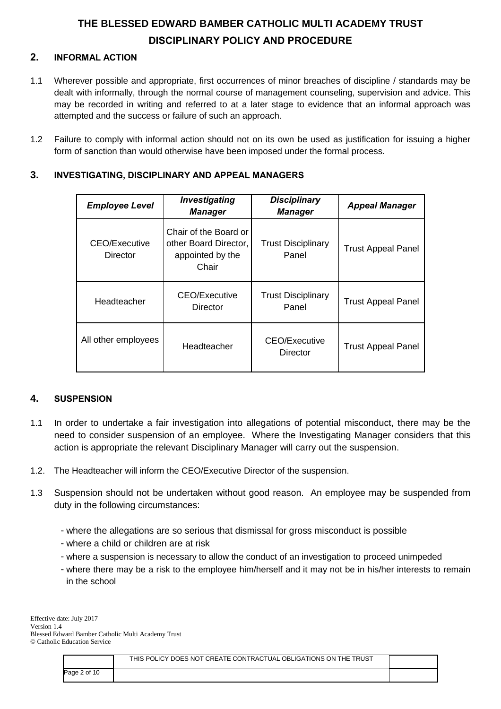## **2. INFORMAL ACTION**

- 1.1 Wherever possible and appropriate, first occurrences of minor breaches of discipline / standards may be dealt with informally, through the normal course of management counseling, supervision and advice. This may be recorded in writing and referred to at a later stage to evidence that an informal approach was attempted and the success or failure of such an approach.
- 1.2 Failure to comply with informal action should not on its own be used as justification for issuing a higher form of sanction than would otherwise have been imposed under the formal process.

| <b>Employee Level</b>     | Investigating<br><b>Manager</b>                                             | <b>Disciplinary</b><br><b>Manager</b> | <b>Appeal Manager</b>     |
|---------------------------|-----------------------------------------------------------------------------|---------------------------------------|---------------------------|
| CEO/Executive<br>Director | Chair of the Board or<br>other Board Director,<br>appointed by the<br>Chair | <b>Trust Disciplinary</b><br>Panel    | <b>Trust Appeal Panel</b> |
| Headteacher               | CEO/Executive<br>Director                                                   | <b>Trust Disciplinary</b><br>Panel    | <b>Trust Appeal Panel</b> |
| All other employees       | Headteacher                                                                 | CEO/Executive<br>Director             | <b>Trust Appeal Panel</b> |

## **3. INVESTIGATING, DISCIPLINARY AND APPEAL MANAGERS**

### **4. SUSPENSION**

- 1.1 In order to undertake a fair investigation into allegations of potential misconduct, there may be the need to consider suspension of an employee. Where the Investigating Manager considers that this action is appropriate the relevant Disciplinary Manager will carry out the suspension.
- 1.2. The Headteacher will inform the CEO/Executive Director of the suspension.
- 1.3 Suspension should not be undertaken without good reason. An employee may be suspended from duty in the following circumstances:
	- where the allegations are so serious that dismissal for gross misconduct is possible
	- where a child or children are at risk
	- where a suspension is necessary to allow the conduct of an investigation to proceed unimpeded
	- where there may be a risk to the employee him/herself and it may not be in his/her interests to remain in the school

Effective date: July 2017 Version 1.4 Blessed Edward Bamber Catholic Multi Academy Trust © Catholic Education Service

|              | THIS POLICY DOES NOT CREATE CONTRACTUAL OBLIGATIONS ON THE TRUST |  |
|--------------|------------------------------------------------------------------|--|
| Page 2 of 10 |                                                                  |  |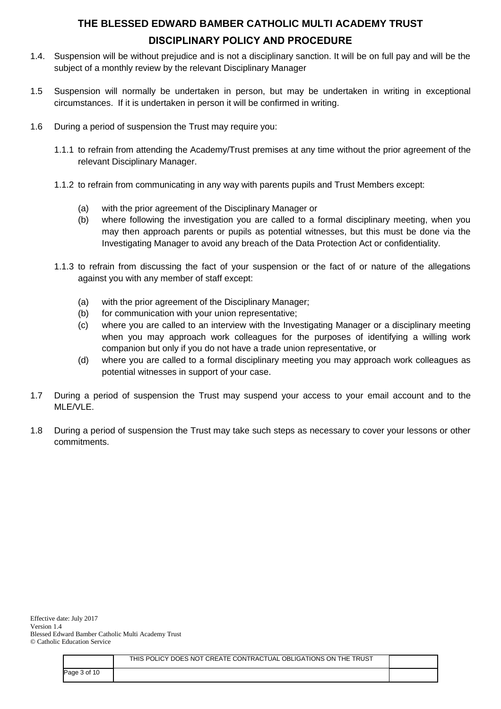- 1.4. Suspension will be without prejudice and is not a disciplinary sanction. It will be on full pay and will be the subject of a monthly review by the relevant Disciplinary Manager
- 1.5 Suspension will normally be undertaken in person, but may be undertaken in writing in exceptional circumstances. If it is undertaken in person it will be confirmed in writing.
- 1.6 During a period of suspension the Trust may require you:
	- 1.1.1 to refrain from attending the Academy/Trust premises at any time without the prior agreement of the relevant Disciplinary Manager.
	- 1.1.2 to refrain from communicating in any way with parents pupils and Trust Members except:
		- (a) with the prior agreement of the Disciplinary Manager or
		- (b) where following the investigation you are called to a formal disciplinary meeting, when you may then approach parents or pupils as potential witnesses, but this must be done via the Investigating Manager to avoid any breach of the Data Protection Act or confidentiality.
	- 1.1.3 to refrain from discussing the fact of your suspension or the fact of or nature of the allegations against you with any member of staff except:
		- (a) with the prior agreement of the Disciplinary Manager;
		- (b) for communication with your union representative;
		- (c) where you are called to an interview with the Investigating Manager or a disciplinary meeting when you may approach work colleagues for the purposes of identifying a willing work companion but only if you do not have a trade union representative, or
		- (d) where you are called to a formal disciplinary meeting you may approach work colleagues as potential witnesses in support of your case.
- 1.7 During a period of suspension the Trust may suspend your access to your email account and to the MLE/VLE.
- 1.8 During a period of suspension the Trust may take such steps as necessary to cover your lessons or other commitments.

|              | THIS POLICY DOES NOT CREATE CONTRACTUAL OBLIGATIONS ON THE TRUST |  |
|--------------|------------------------------------------------------------------|--|
| Page 3 of 10 |                                                                  |  |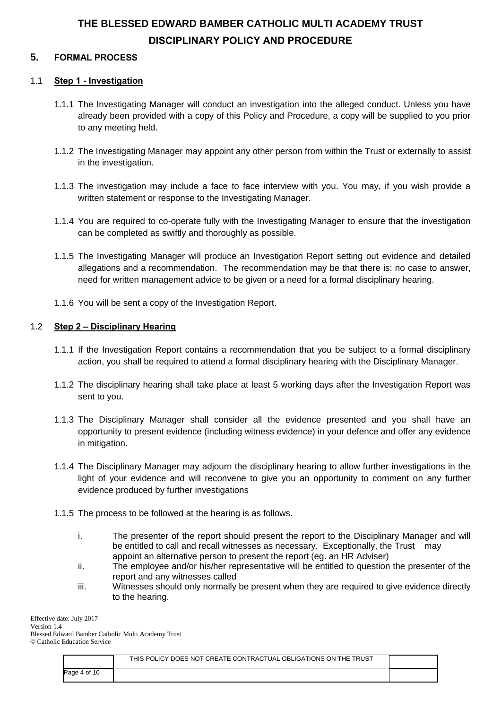## **5. FORMAL PROCESS**

### 1.1 **Step 1 - Investigation**

- 1.1.1 The Investigating Manager will conduct an investigation into the alleged conduct. Unless you have already been provided with a copy of this Policy and Procedure, a copy will be supplied to you prior to any meeting held.
- 1.1.2 The Investigating Manager may appoint any other person from within the Trust or externally to assist in the investigation.
- 1.1.3 The investigation may include a face to face interview with you. You may, if you wish provide a written statement or response to the Investigating Manager.
- 1.1.4 You are required to co-operate fully with the Investigating Manager to ensure that the investigation can be completed as swiftly and thoroughly as possible.
- 1.1.5 The Investigating Manager will produce an Investigation Report setting out evidence and detailed allegations and a recommendation. The recommendation may be that there is: no case to answer, need for written management advice to be given or a need for a formal disciplinary hearing.
- 1.1.6 You will be sent a copy of the Investigation Report.

#### 1.2 **Step 2 – Disciplinary Hearing**

- 1.1.1 If the Investigation Report contains a recommendation that you be subject to a formal disciplinary action, you shall be required to attend a formal disciplinary hearing with the Disciplinary Manager.
- 1.1.2 The disciplinary hearing shall take place at least 5 working days after the Investigation Report was sent to you.
- 1.1.3 The Disciplinary Manager shall consider all the evidence presented and you shall have an opportunity to present evidence (including witness evidence) in your defence and offer any evidence in mitigation.
- 1.1.4 The Disciplinary Manager may adjourn the disciplinary hearing to allow further investigations in the light of your evidence and will reconvene to give you an opportunity to comment on any further evidence produced by further investigations
- 1.1.5 The process to be followed at the hearing is as follows.
	- i. The presenter of the report should present the report to the Disciplinary Manager and will be entitled to call and recall witnesses as necessary. Exceptionally, the Trust may appoint an alternative person to present the report (eg. an HR Adviser)
	- ii. The employee and/or his/her representative will be entitled to question the presenter of the report and any witnesses called
	- iii. Witnesses should only normally be present when they are required to give evidence directly to the hearing.

Effective date: July 2017 Version 1.4 Blessed Edward Bamber Catholic Multi Academy Trust © Catholic Education Service

|              | THIS POLICY DOES NOT CREATE CONTRACTUAL OBLIGATIONS ON THE TRUST |  |
|--------------|------------------------------------------------------------------|--|
| Page 4 of 10 |                                                                  |  |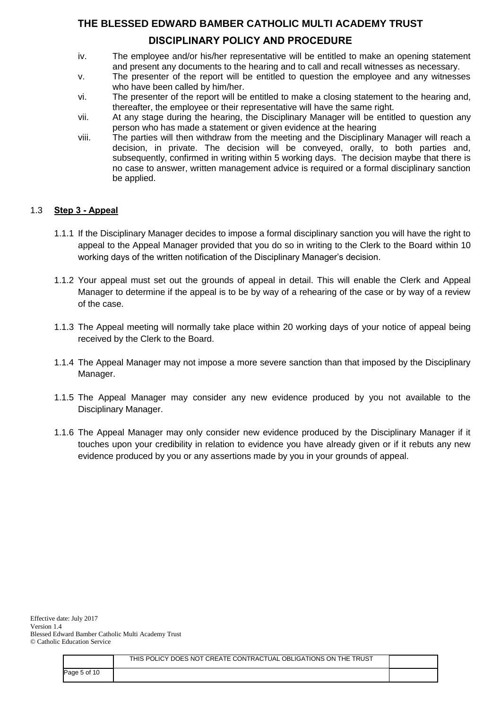## **THE BLESSED EDWARD BAMBER CATHOLIC MULTI ACADEMY TRUST**

## **DISCIPLINARY POLICY AND PROCEDURE**

- iv. The employee and/or his/her representative will be entitled to make an opening statement and present any documents to the hearing and to call and recall witnesses as necessary.
- v. The presenter of the report will be entitled to question the employee and any witnesses who have been called by him/her.
- vi. The presenter of the report will be entitled to make a closing statement to the hearing and, thereafter, the employee or their representative will have the same right.
- vii. At any stage during the hearing, the Disciplinary Manager will be entitled to question any person who has made a statement or given evidence at the hearing
- viii. The parties will then withdraw from the meeting and the Disciplinary Manager will reach a decision, in private. The decision will be conveyed, orally, to both parties and, subsequently, confirmed in writing within 5 working days. The decision maybe that there is no case to answer, written management advice is required or a formal disciplinary sanction be applied.

### 1.3 **Step 3 - Appeal**

- 1.1.1 If the Disciplinary Manager decides to impose a formal disciplinary sanction you will have the right to appeal to the Appeal Manager provided that you do so in writing to the Clerk to the Board within 10 working days of the written notification of the Disciplinary Manager's decision.
- 1.1.2 Your appeal must set out the grounds of appeal in detail. This will enable the Clerk and Appeal Manager to determine if the appeal is to be by way of a rehearing of the case or by way of a review of the case.
- 1.1.3 The Appeal meeting will normally take place within 20 working days of your notice of appeal being received by the Clerk to the Board.
- 1.1.4 The Appeal Manager may not impose a more severe sanction than that imposed by the Disciplinary Manager.
- 1.1.5 The Appeal Manager may consider any new evidence produced by you not available to the Disciplinary Manager.
- 1.1.6 The Appeal Manager may only consider new evidence produced by the Disciplinary Manager if it touches upon your credibility in relation to evidence you have already given or if it rebuts any new evidence produced by you or any assertions made by you in your grounds of appeal.

|              | THIS POLICY DOES NOT CREATE CONTRACTUAL OBLIGATIONS ON THE TRUST |  |
|--------------|------------------------------------------------------------------|--|
| Page 5 of 10 |                                                                  |  |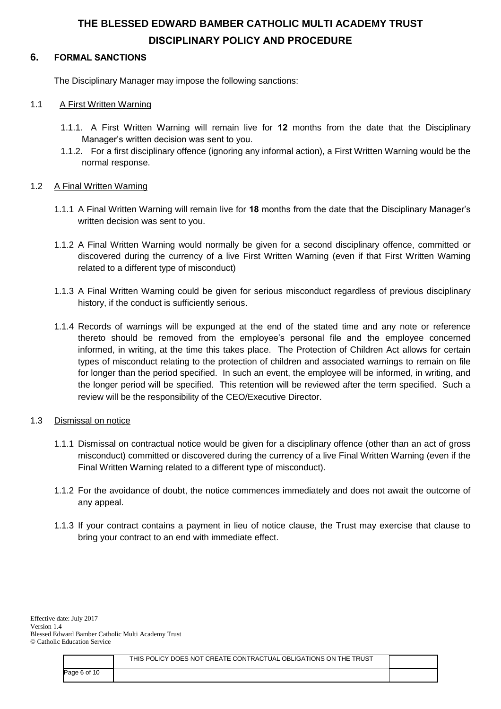## **6. FORMAL SANCTIONS**

The Disciplinary Manager may impose the following sanctions:

### 1.1 A First Written Warning

- 1.1.1. A First Written Warning will remain live for **12** months from the date that the Disciplinary Manager's written decision was sent to you.
- 1.1.2. For a first disciplinary offence (ignoring any informal action), a First Written Warning would be the normal response.

#### 1.2 A Final Written Warning

- 1.1.1 A Final Written Warning will remain live for **18** months from the date that the Disciplinary Manager's written decision was sent to you.
- 1.1.2 A Final Written Warning would normally be given for a second disciplinary offence, committed or discovered during the currency of a live First Written Warning (even if that First Written Warning related to a different type of misconduct)
- 1.1.3 A Final Written Warning could be given for serious misconduct regardless of previous disciplinary history, if the conduct is sufficiently serious.
- 1.1.4 Records of warnings will be expunged at the end of the stated time and any note or reference thereto should be removed from the employee's personal file and the employee concerned informed, in writing, at the time this takes place. The Protection of Children Act allows for certain types of misconduct relating to the protection of children and associated warnings to remain on file for longer than the period specified. In such an event, the employee will be informed, in writing, and the longer period will be specified. This retention will be reviewed after the term specified. Such a review will be the responsibility of the CEO/Executive Director.

#### 1.3 Dismissal on notice

- 1.1.1 Dismissal on contractual notice would be given for a disciplinary offence (other than an act of gross misconduct) committed or discovered during the currency of a live Final Written Warning (even if the Final Written Warning related to a different type of misconduct).
- 1.1.2 For the avoidance of doubt, the notice commences immediately and does not await the outcome of any appeal.
- 1.1.3 If your contract contains a payment in lieu of notice clause, the Trust may exercise that clause to bring your contract to an end with immediate effect.

|              | THIS POLICY DOES NOT CREATE CONTRACTUAL OBLIGATIONS ON THE TRUST |  |
|--------------|------------------------------------------------------------------|--|
| Page 6 of 10 |                                                                  |  |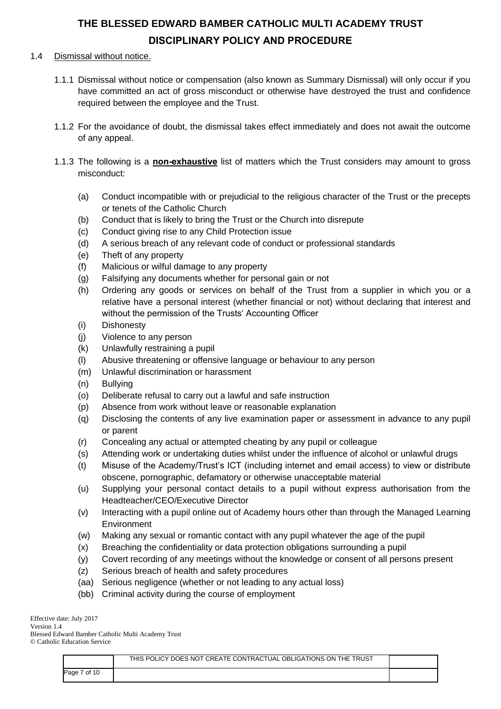#### 1.4 Dismissal without notice.

- 1.1.1 Dismissal without notice or compensation (also known as Summary Dismissal) will only occur if you have committed an act of gross misconduct or otherwise have destroyed the trust and confidence required between the employee and the Trust.
- 1.1.2 For the avoidance of doubt, the dismissal takes effect immediately and does not await the outcome of any appeal.
- 1.1.3 The following is a **non-exhaustive** list of matters which the Trust considers may amount to gross misconduct:
	- (a) Conduct incompatible with or prejudicial to the religious character of the Trust or the precepts or tenets of the Catholic Church
	- (b) Conduct that is likely to bring the Trust or the Church into disrepute
	- (c) Conduct giving rise to any Child Protection issue
	- (d) A serious breach of any relevant code of conduct or professional standards
	- (e) Theft of any property
	- (f) Malicious or wilful damage to any property
	- (g) Falsifying any documents whether for personal gain or not
	- (h) Ordering any goods or services on behalf of the Trust from a supplier in which you or a relative have a personal interest (whether financial or not) without declaring that interest and without the permission of the Trusts' Accounting Officer
	- (i) Dishonesty
	- (j) Violence to any person
	- (k) Unlawfully restraining a pupil
	- (l) Abusive threatening or offensive language or behaviour to any person
	- (m) Unlawful discrimination or harassment
	- (n) Bullying
	- (o) Deliberate refusal to carry out a lawful and safe instruction
	- (p) Absence from work without leave or reasonable explanation
	- (q) Disclosing the contents of any live examination paper or assessment in advance to any pupil or parent
	- (r) Concealing any actual or attempted cheating by any pupil or colleague
	- (s) Attending work or undertaking duties whilst under the influence of alcohol or unlawful drugs
	- (t) Misuse of the Academy/Trust's ICT (including internet and email access) to view or distribute obscene, pornographic, defamatory or otherwise unacceptable material
	- (u) Supplying your personal contact details to a pupil without express authorisation from the Headteacher/CEO/Executive Director
	- (v) Interacting with a pupil online out of Academy hours other than through the Managed Learning Environment
	- (w) Making any sexual or romantic contact with any pupil whatever the age of the pupil
	- (x) Breaching the confidentiality or data protection obligations surrounding a pupil
	- (y) Covert recording of any meetings without the knowledge or consent of all persons present
	- (z) Serious breach of health and safety procedures
	- (aa) Serious negligence (whether or not leading to any actual loss)
	- (bb) Criminal activity during the course of employment

Effective date: July 2017 Version 1.4

Blessed Edward Bamber Catholic Multi Academy Trust © Catholic Education Service

|              | THIS POLICY DOES NOT CREATE CONTRACTUAL OBLIGATIONS ON THE TRUST |  |
|--------------|------------------------------------------------------------------|--|
| Page 7 of 10 |                                                                  |  |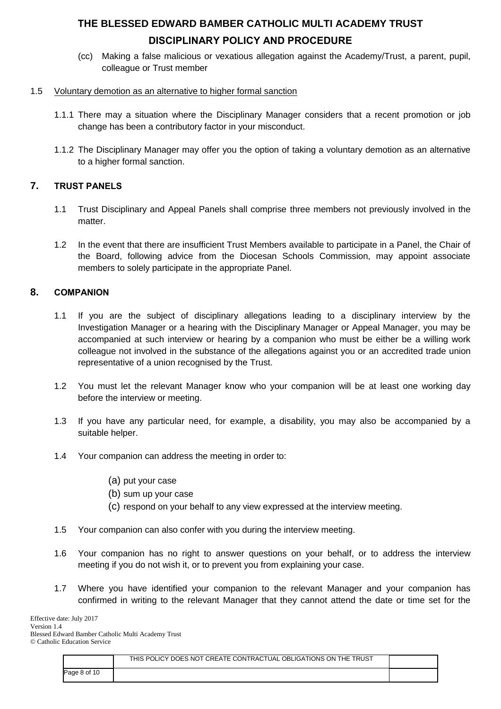(cc) Making a false malicious or vexatious allegation against the Academy/Trust, a parent, pupil, colleague or Trust member

### 1.5 Voluntary demotion as an alternative to higher formal sanction

- 1.1.1 There may a situation where the Disciplinary Manager considers that a recent promotion or job change has been a contributory factor in your misconduct.
- 1.1.2 The Disciplinary Manager may offer you the option of taking a voluntary demotion as an alternative to a higher formal sanction.

## **7. TRUST PANELS**

- 1.1 Trust Disciplinary and Appeal Panels shall comprise three members not previously involved in the matter.
- 1.2 In the event that there are insufficient Trust Members available to participate in a Panel, the Chair of the Board, following advice from the Diocesan Schools Commission, may appoint associate members to solely participate in the appropriate Panel.

## **8. COMPANION**

- 1.1 If you are the subject of disciplinary allegations leading to a disciplinary interview by the Investigation Manager or a hearing with the Disciplinary Manager or Appeal Manager, you may be accompanied at such interview or hearing by a companion who must be either be a willing work colleague not involved in the substance of the allegations against you or an accredited trade union representative of a union recognised by the Trust.
- 1.2 You must let the relevant Manager know who your companion will be at least one working day before the interview or meeting.
- 1.3 If you have any particular need, for example, a disability, you may also be accompanied by a suitable helper.
- 1.4 Your companion can address the meeting in order to:
	- (a) put your case
	- (b) sum up your case
	- (c) respond on your behalf to any view expressed at the interview meeting.
- 1.5 Your companion can also confer with you during the interview meeting.
- 1.6 Your companion has no right to answer questions on your behalf, or to address the interview meeting if you do not wish it, or to prevent you from explaining your case.
- 1.7 Where you have identified your companion to the relevant Manager and your companion has confirmed in writing to the relevant Manager that they cannot attend the date or time set for the

|              | THIS POLICY DOES NOT CREATE CONTRACTUAL OBLIGATIONS ON THE TRUST |  |
|--------------|------------------------------------------------------------------|--|
| Page 8 of 10 |                                                                  |  |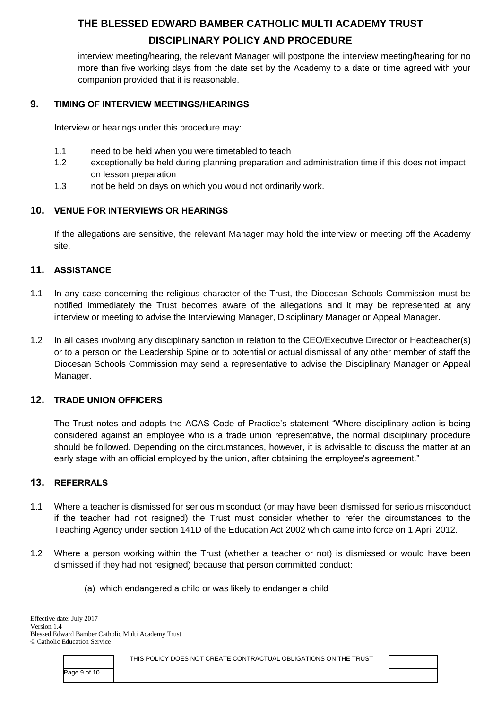interview meeting/hearing, the relevant Manager will postpone the interview meeting/hearing for no more than five working days from the date set by the Academy to a date or time agreed with your companion provided that it is reasonable.

## **9. TIMING OF INTERVIEW MEETINGS/HEARINGS**

Interview or hearings under this procedure may:

- 1.1 need to be held when you were timetabled to teach
- 1.2 exceptionally be held during planning preparation and administration time if this does not impact on lesson preparation
- 1.3 not be held on days on which you would not ordinarily work.

### **10. VENUE FOR INTERVIEWS OR HEARINGS**

If the allegations are sensitive, the relevant Manager may hold the interview or meeting off the Academy site.

### **11. ASSISTANCE**

- 1.1 In any case concerning the religious character of the Trust, the Diocesan Schools Commission must be notified immediately the Trust becomes aware of the allegations and it may be represented at any interview or meeting to advise the Interviewing Manager, Disciplinary Manager or Appeal Manager.
- 1.2 In all cases involving any disciplinary sanction in relation to the CEO/Executive Director or Headteacher(s) or to a person on the Leadership Spine or to potential or actual dismissal of any other member of staff the Diocesan Schools Commission may send a representative to advise the Disciplinary Manager or Appeal Manager.

### **12. TRADE UNION OFFICERS**

The Trust notes and adopts the ACAS Code of Practice's statement "Where disciplinary action is being considered against an employee who is a trade union representative, the normal disciplinary procedure should be followed. Depending on the circumstances, however, it is advisable to discuss the matter at an early stage with an official employed by the union, after obtaining the employee's agreement."

### **13. REFERRALS**

- 1.1 Where a teacher is dismissed for serious misconduct (or may have been dismissed for serious misconduct if the teacher had not resigned) the Trust must consider whether to refer the circumstances to the Teaching Agency under section 141D of the Education Act 2002 which came into force on 1 April 2012.
- 1.2 Where a person working within the Trust (whether a teacher or not) is dismissed or would have been dismissed if they had not resigned) because that person committed conduct:
	- (a) which endangered a child or was likely to endanger a child

|              | THIS POLICY DOES NOT CREATE CONTRACTUAL OBLIGATIONS ON THE TRUST |  |
|--------------|------------------------------------------------------------------|--|
| Page 9 of 10 |                                                                  |  |